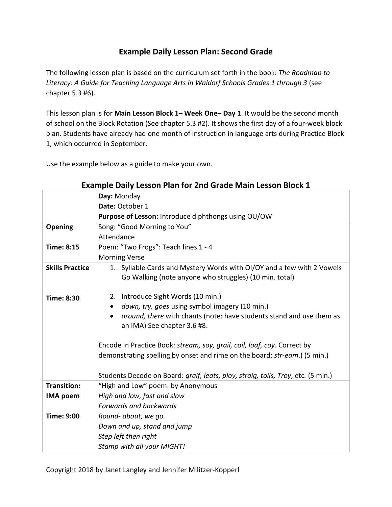## **Example Daily Lesson Plan: Second Grade**

The following lesson plan is based on the curriculum set forth in the book: *The Roadmap to*  Literacy: A Guide for Teaching Language Arts in Waldorf Schools Grades 1 through 3 (see chapter 5.3 #6).

This lesson plan is for **Main Lesson Block 1– Week One– Day 1**. It would be the second month of school on the Block Rotation (See chapter 5.3 #2). It shows the first day of a four-week block plan. Students have already had one month of instruction in language arts during Practice Block 1, which occurred in September.

Use the example below as a guide to make your own.

|                        | Day: Monday                                                                                                                      |
|------------------------|----------------------------------------------------------------------------------------------------------------------------------|
|                        | Date: October 1                                                                                                                  |
|                        | Purpose of Lesson: Introduce diphthongs using OU/OW                                                                              |
| Opening                | Song: "Good Morning to You"                                                                                                      |
|                        | Attendance                                                                                                                       |
| <b>Time: 8:15</b>      | Poem: "Two Frogs": Teach lines 1 - 4                                                                                             |
|                        | <b>Morning Verse</b>                                                                                                             |
| <b>Skills Practice</b> | 1. Syllable Cards and Mystery Words with OI/OY and a few with 2 Vowels<br>Go Walking (note anyone who struggles) (10 min. total) |
| <b>Time: 8:30</b>      | 2. Introduce Sight Words (10 min.)                                                                                               |
|                        | down, try, goes using symbol imagery (10 min.)                                                                                   |
|                        | around, there with chants (note: have students stand and use them as<br>an IMA) See chapter 3.6 #8.                              |
|                        | Encode in Practice Book: stream, soy, grail, coil, loaf, coy. Correct by                                                         |
|                        | demonstrating spelling by onset and rime on the board: str-eam.) (5 min.)                                                        |
|                        | Students Decode on Board: graif, leats, ploy, straig, toils, Troy, etc. (5 min.)                                                 |
| <b>Transition:</b>     | "High and Low" poem: by Anonymous                                                                                                |
| <b>IMA poem</b>        | High and low, fast and slow                                                                                                      |
|                        | Forwards and backwards                                                                                                           |
| <b>Time: 9:00</b>      | Round- about, we go.                                                                                                             |
|                        | Down and up, stand and jump                                                                                                      |
|                        | Step left then right                                                                                                             |
|                        | Stamp with all your MIGHT!                                                                                                       |

## **Example Daily Lesson Plan for 2nd Grade Main Lesson Block 1**